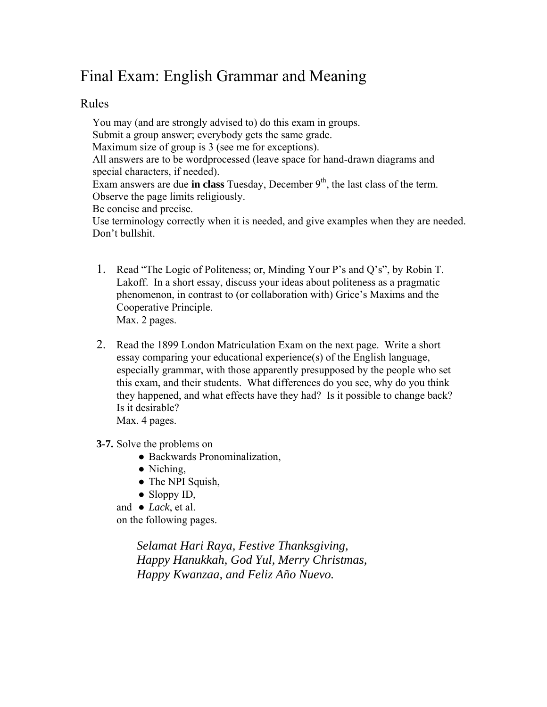## Final Exam: English Grammar and Meaning

## Rules

You may (and are strongly advised to) do this exam in groups. Submit a group answer; everybody gets the same grade. Maximum size of group is 3 (see me for exceptions). All answers are to be wordprocessed (leave space for hand-drawn diagrams and special characters, if needed). Exam answers are due **in class** Tuesday, December  $9<sup>th</sup>$ , the last class of the term. Observe the page limits religiously. Be concise and precise. Use terminology correctly when it is needed, and give examples when they are needed. Don't bullshit.

- 1. Read "The Logic of Politeness; or, Minding Your P's and Q's", by Robin T. Lakoff. In a short essay, discuss your ideas about politeness as a pragmatic phenomenon, in contrast to (or collaboration with) Grice's Maxims and the Cooperative Principle. Max. 2 pages.
- 2. Read the 1899 London Matriculation Exam on the next page. Write a short essay comparing your educational experience(s) of the English language, especially grammar, with those apparently presupposed by the people who set this exam, and their students. What differences do you see, why do you think they happened, and what effects have they had? Is it possible to change back? Is it desirable? Max. 4 pages.

- **3-7.** Solve the problems on
	- Backwards Pronominalization,
	- Niching,
	- The NPI Squish,
	- $\bullet$  Sloppy ID,
	- and *Lack*, et al. on the following pages.

*Selamat Hari Raya, Festive Thanksgiving, Happy Hanukkah, God Yul, Merry Christmas, Happy Kwanzaa, and Feliz Año Nuevo.*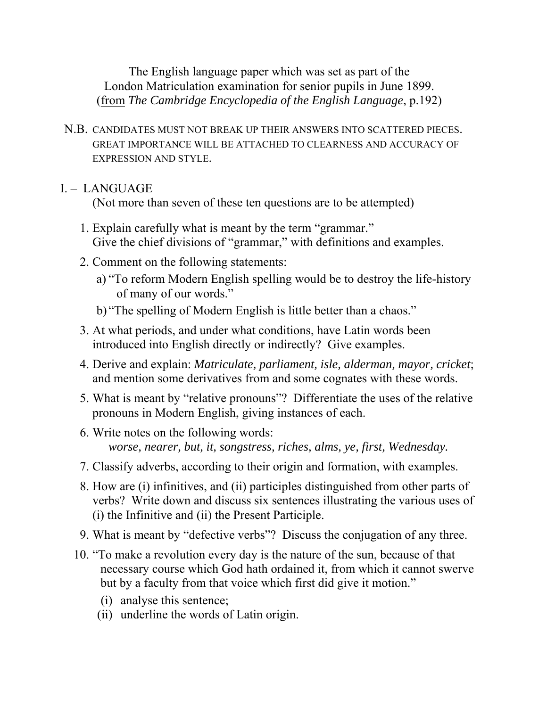The English language paper which was set as part of the London Matriculation examination for senior pupils in June 1899. (from *The Cambridge Encyclopedia of the English Language*, p.192)

N.B. CANDIDATES MUST NOT BREAK UP THEIR ANSWERS INTO SCATTERED PIECES. GREAT IMPORTANCE WILL BE ATTACHED TO CLEARNESS AND ACCURACY OF EXPRESSION AND STYLE.

## I. – LANGUAGE

(Not more than seven of these ten questions are to be attempted)

- 1. Explain carefully what is meant by the term "grammar." Give the chief divisions of "grammar," with definitions and examples.
- 2. Comment on the following statements:
	- a) "To reform Modern English spelling would be to destroy the life-history of many of our words."
	- b) "The spelling of Modern English is little better than a chaos."
- 3. At what periods, and under what conditions, have Latin words been introduced into English directly or indirectly? Give examples.
- 4. Derive and explain: *Matriculate, parliament, isle, alderman, mayor, cricket*; and mention some derivatives from and some cognates with these words.
- 5. What is meant by "relative pronouns"? Differentiate the uses of the relative pronouns in Modern English, giving instances of each.
- 6. Write notes on the following words: *worse, nearer, but, it, songstress, riches, alms, ye, first, Wednesday.*
- 7. Classify adverbs, according to their origin and formation, with examples.
- 8. How are (i) infinitives, and (ii) participles distinguished from other parts of verbs? Write down and discuss six sentences illustrating the various uses of (i) the Infinitive and (ii) the Present Participle.
- 9. What is meant by "defective verbs"? Discuss the conjugation of any three.
- 10. "To make a revolution every day is the nature of the sun, because of that necessary course which God hath ordained it, from which it cannot swerve but by a faculty from that voice which first did give it motion."
	- (i) analyse this sentence;
	- (ii) underline the words of Latin origin.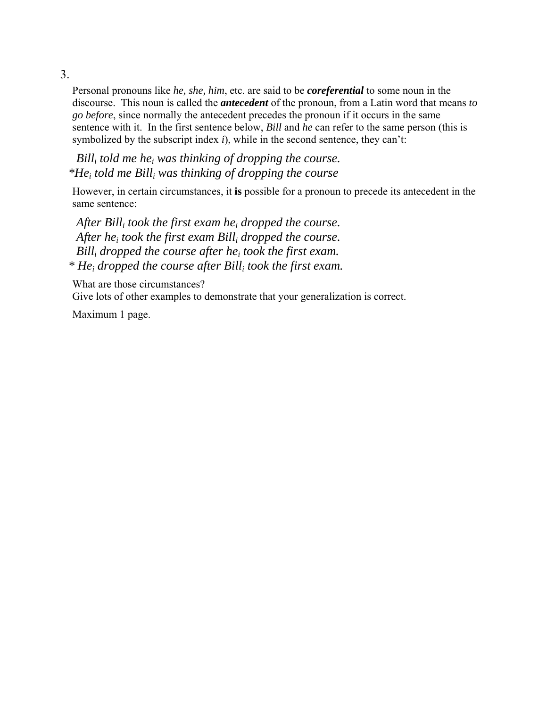3.

Personal pronouns like *he, she, him*, etc. are said to be *coreferential* to some noun in the discourse. This noun is called the *antecedent* of the pronoun, from a Latin word that means *to go before*, since normally the antecedent precedes the pronoun if it occurs in the same sentence with it. In the first sentence below, *Bill* and *he* can refer to the same person (this is symbolized by the subscript index *i*), while in the second sentence, they can't:

 *Billi told me hei was thinking of dropping the course. \*Hei told me Billi was thinking of dropping the course* 

However, in certain circumstances, it **is** possible for a pronoun to precede its antecedent in the same sentence:

 *After Billi took the first exam hei dropped the course. After hei took the first exam Billi dropped the course. Billi dropped the course after hei took the first exam. \* Hei dropped the course after Billi took the first exam.* 

What are those circumstances?

Give lots of other examples to demonstrate that your generalization is correct.

Maximum 1 page.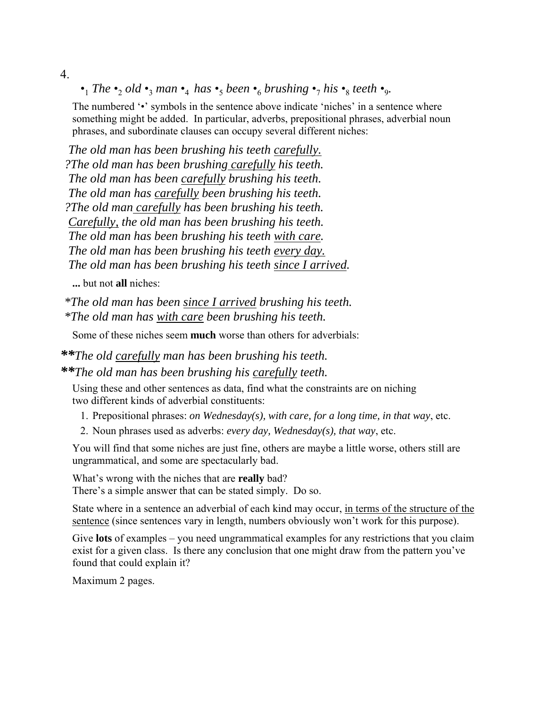4.

•<sub>1</sub> *The* •<sub>2</sub> *old* •<sub>3</sub> *man* •<sub>4</sub> *has* •<sub>5</sub> *been* •<sub>6</sub> *brushing* •<sub>7</sub> *his* •<sub>8</sub> *teeth* •<sub>9</sub>*.* 

The numbered '•' symbols in the sentence above indicate 'niches' in a sentence where something might be added. In particular, adverbs, prepositional phrases, adverbial noun phrases, and subordinate clauses can occupy several different niches:

 *The old man has been brushing his teeth carefully. ?The old man has been brushing carefully his teeth. The old man has been carefully brushing his teeth. The old man has carefully been brushing his teeth. ?The old man carefully has been brushing his teeth. Carefully, the old man has been brushing his teeth. The old man has been brushing his teeth with care. The old man has been brushing his teeth every day. The old man has been brushing his teeth since I arrived.*

**...** but not **all** niches:

*\*The old man has been since I arrived brushing his teeth. \*The old man has with care been brushing his teeth.* 

Some of these niches seem **much** worse than others for adverbials:

*\*\*The old carefully man has been brushing his teeth. \*\*The old man has been brushing his carefully teeth.* 

Using these and other sentences as data, find what the constraints are on niching two different kinds of adverbial constituents:

1. Prepositional phrases: *on Wednesday(s), with care, for a long time, in that way*, etc.

2. Noun phrases used as adverbs: *every day, Wednesday(s), that way*, etc.

You will find that some niches are just fine, others are maybe a little worse, others still are ungrammatical, and some are spectacularly bad.

What's wrong with the niches that are **really** bad? There's a simple answer that can be stated simply. Do so.

State where in a sentence an adverbial of each kind may occur, in terms of the structure of the sentence (since sentences vary in length, numbers obviously won't work for this purpose).

Give **lots** of examples – you need ungrammatical examples for any restrictions that you claim exist for a given class. Is there any conclusion that one might draw from the pattern you've found that could explain it?

Maximum 2 pages.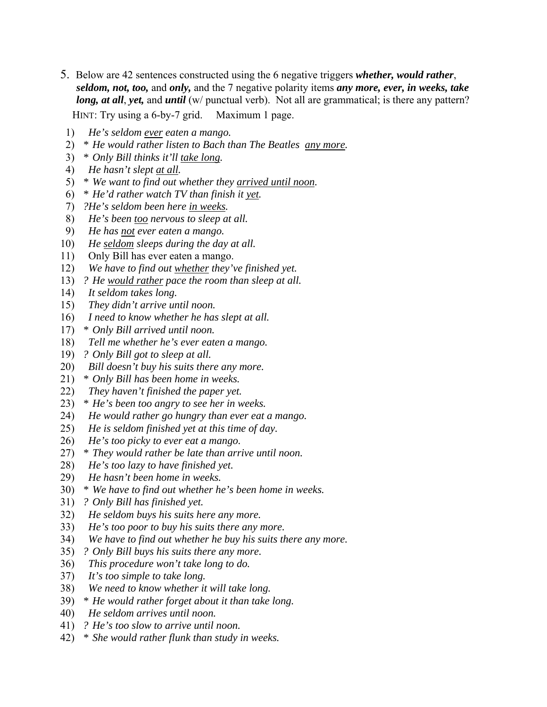- 5. Below are 42 sentences constructed using the 6 negative triggers *whether, would rather*, *seldom, not, too,* and *only,* and the 7 negative polarity items *any more, ever, in weeks, take long, at all, yet,* and *until* (w/ punctual verb). Not all are grammatical; is there any pattern? HINT: Try using a 6-by-7 grid. Maximum 1 page.
- 1) *He's seldom ever eaten a mango.*
- 2) *\* He would rather listen to Bach than The Beatles any more.*
- 3) *\* Only Bill thinks it'll take long.*
- 4) *He hasn't slept at all.*
- 5) *\* We want to find out whether they arrived until noon.*
- 6) *\* He'd rather watch TV than finish it yet.*
- 7) *?He's seldom been here in weeks.*
- 8) *He's been too nervous to sleep at all.*
- 9) *He has not ever eaten a mango.*
- 10) *He seldom sleeps during the day at all.*
- 11) Only Bill has ever eaten a mango.
- 12) *We have to find out whether they've finished yet.*
- 13) *? He would rather pace the room than sleep at all.*
- 14) *It seldom takes long.*
- 15) *They didn't arrive until noon.*
- 16) *I need to know whether he has slept at all.*
- 17) *\* Only Bill arrived until noon.*
- 18) *Tell me whether he's ever eaten a mango.*
- 19) *? Only Bill got to sleep at all.*
- 20) *Bill doesn't buy his suits there any more.*
- 21) *\* Only Bill has been home in weeks.*
- 22) *They haven't finished the paper yet.*
- 23) *\* He's been too angry to see her in weeks.*
- 24) *He would rather go hungry than ever eat a mango.*
- 25) *He is seldom finished yet at this time of day.*
- 26) *He's too picky to ever eat a mango.*
- 27) *\* They would rather be late than arrive until noon.*
- 28) *He's too lazy to have finished yet.*
- 29) *He hasn't been home in weeks.*
- 30) *\* We have to find out whether he's been home in weeks.*
- 31) *? Only Bill has finished yet.*
- 32) *He seldom buys his suits here any more.*
- 33) *He's too poor to buy his suits there any more.*
- 34) *We have to find out whether he buy his suits there any more.*
- 35) *? Only Bill buys his suits there any more.*
- 36) *This procedure won't take long to do.*
- 37) *It's too simple to take long.*
- 38) *We need to know whether it will take long.*
- 39) *\* He would rather forget about it than take long.*
- 40) *He seldom arrives until noon.*
- 41) *? He's too slow to arrive until noon.*
- 42) *\* She would rather flunk than study in weeks.*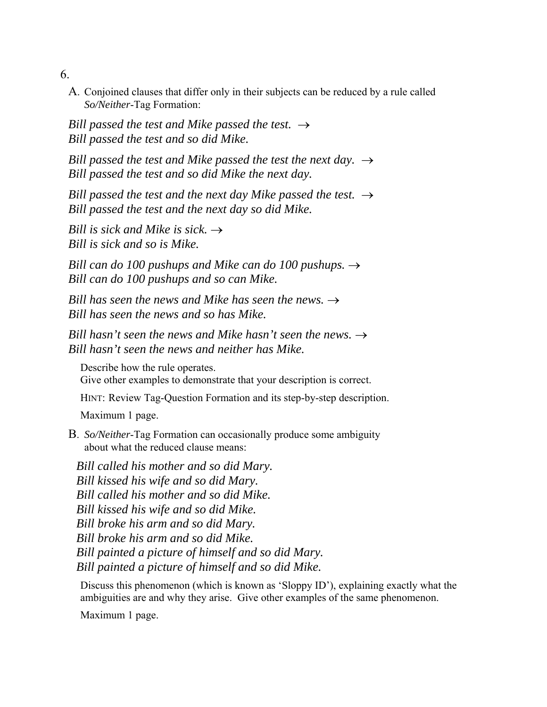6.

A. Conjoined clauses that differ only in their subjects can be reduced by a rule called *So/Neither*-Tag Formation:

*Bill passed the test and Mike passed the test.*  $\rightarrow$  *Bill passed the test and so did Mike.* 

*Bill passed the test and Mike passed the test the next day.*  $\rightarrow$  *Bill passed the test and so did Mike the next day.* 

*Bill passed the test and the next day Mike passed the test.*  $\rightarrow$  *Bill passed the test and the next day so did Mike.* 

*Bill is sick and Mike is sick.*  $\rightarrow$  *Bill is sick and so is Mike.* 

*Bill can do 100 pushups and Mike can do 100 pushups. → Bill can do 100 pushups and so can Mike.* 

*Bill has seen the news and Mike has seen the news.*  $\rightarrow$  *Bill has seen the news and so has Mike.* 

*Bill hasn't seen the news and Mike hasn't seen the news.*  $\rightarrow$  *Bill hasn't seen the news and neither has Mike.* 

 Describe how the rule operates. Give other examples to demonstrate that your description is correct.

HINT: Review Tag-Question Formation and its step-by-step description.

Maximum 1 page.

B. *So/Neither*-Tag Formation can occasionally produce some ambiguity about what the reduced clause means:

 *Bill called his mother and so did Mary. Bill kissed his wife and so did Mary. Bill called his mother and so did Mike. Bill kissed his wife and so did Mike. Bill broke his arm and so did Mary. Bill broke his arm and so did Mike. Bill painted a picture of himself and so did Mary. Bill painted a picture of himself and so did Mike.* 

 Discuss this phenomenon (which is known as 'Sloppy ID'), explaining exactly what the ambiguities are and why they arise. Give other examples of the same phenomenon.

Maximum 1 page.